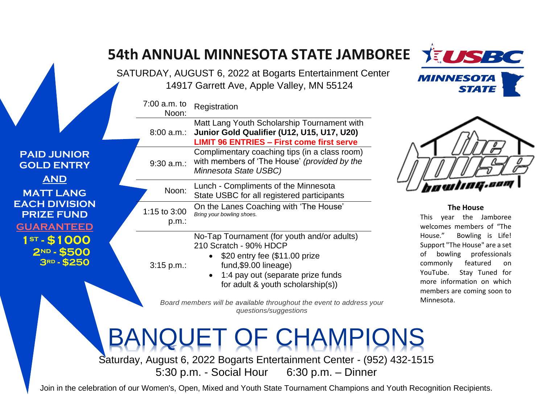|                                                                                                                                                                                           |                       | SATURDAY, AUGUST 6, 2022 at Bogarts Entertainment Center<br>14917 Garrett Ave, Apple Valley, MN 55124                                                                                                     | <b>MINNESOTA</b><br><b>STATE</b>                                                                                                                                                                                |
|-------------------------------------------------------------------------------------------------------------------------------------------------------------------------------------------|-----------------------|-----------------------------------------------------------------------------------------------------------------------------------------------------------------------------------------------------------|-----------------------------------------------------------------------------------------------------------------------------------------------------------------------------------------------------------------|
|                                                                                                                                                                                           | 7:00 a.m. to<br>Noon: | Registration                                                                                                                                                                                              |                                                                                                                                                                                                                 |
|                                                                                                                                                                                           | 8:00 a.m.:            | Matt Lang Youth Scholarship Tournament with<br>Junior Gold Qualifier (U12, U15, U17, U20)<br><b>LIMIT 96 ENTRIES - First come first serve</b>                                                             |                                                                                                                                                                                                                 |
| <b>PAID JUNIOR</b><br><b>GOLD ENTRY</b><br><b>AND</b><br><b>MATT LANG</b><br><b>EACH DIVISION</b><br><b>PRIZE FUND</b><br><b>GUARANTEED</b><br>$1^{5T} - $1000$<br>2ND-\$500<br>3RD-\$250 | 9:30 a.m.             | Complimentary coaching tips (in a class room)<br>with members of 'The House' (provided by the<br>Minnesota State USBC)                                                                                    |                                                                                                                                                                                                                 |
|                                                                                                                                                                                           | Noon:                 | Lunch - Compliments of the Minnesota<br>State USBC for all registered participants                                                                                                                        | <i>howima.som</i>                                                                                                                                                                                               |
|                                                                                                                                                                                           | 1:15 to 3:00<br>p.m.: | On the Lanes Coaching with 'The House'<br>Bring your bowling shoes.                                                                                                                                       | <b>The House</b><br>This year the Jamboree<br>welcomes members of "The                                                                                                                                          |
|                                                                                                                                                                                           | $3:15 p.m.$ :         | No-Tap Tournament (for youth and/or adults)<br>210 Scratch - 90% HDCP<br>\$20 entry fee (\$11.00 prize<br>fund, \$9.00 lineage)<br>1:4 pay out (separate prize funds<br>for adult & youth scholarship(s)) | House."<br>Bowling is Life!<br>Support "The House" are a set<br>of bowling professionals<br>featured<br>commonly<br>on<br>Stay Tuned for<br>YouTube.<br>more information on which<br>members are coming soon to |
|                                                                                                                                                                                           |                       | Board members will be available throughout the event to address your<br>questions/suggestions                                                                                                             | Minnesota.                                                                                                                                                                                                      |

Saturday, August 6, 2022 Bogarts Entertainment Center - (952) 432-1515 5:30 p.m. - Social Hour 6:30 p.m. – Dinner

Join in the celebration of our Women's, Open, Mixed and Youth State Tournament Champions and Youth Recognition Recipients.